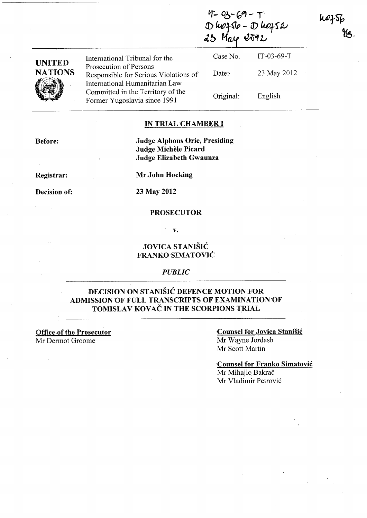| <b>UNITED</b><br><b>NATIONS</b> |                                                                                                   | Dhozsto - Dhofs2<br>25 May 2592 |              |  |
|---------------------------------|---------------------------------------------------------------------------------------------------|---------------------------------|--------------|--|
|                                 | International Tribunal for the                                                                    | Case No.                        | $IT-03-69-T$ |  |
|                                 | Prosecution of Persons<br>Responsible for Serious Violations of<br>International Humanitarian Law | Date:                           | 23 May 2012  |  |
|                                 | Committed in the Territory of the<br>Former Yugoslavia since 1991                                 | Original:                       | English      |  |

 $4 - 03 - 69 - 17$ 

#### IN TRIAL CHAMBER I

Judge Alphons Orie, Presiding Judge Michèle Picard Judge Elizabeth Gwaunza

Registrar:

Before:

Mr John Hocking

### Decision of: 23 May 2012

#### PROSECUTOR

v.

#### JOVICA STANIŠIĆ FRANKO'SIMATOVIĆ

*PUBLIC* 

#### DECISION ON STANIŠIĆ DEFENCE MOTION FOR ADMISSION OF FULL TRANSCRIPTS OF EXAMINATION OF TOMISLAV KOVAČ IN THE SCORPIONS TRIAL

Office of the Prosecutor

Mr Dermot Groome

#### Counsel for Jovica Stanišić Mr Wayne lordash

Mr Scott Martin

-Counsel for Franko Simatović Mr Mihajlo Bakrač Mr Vladimir Petrović

nofsk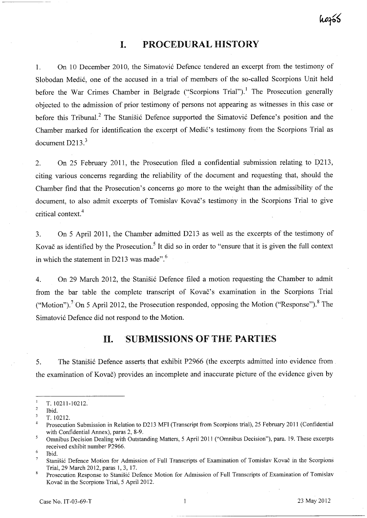# hofós

# **I. PROCEDURAL HISTORY**

1. On 10 December 2010, the Simatović Defence tendered an excerpt from the testimony of Slobodan Medić, one of the accused in a trial of members of the so-called Scorpions Unit held before the War Crimes Chamber in Belgrade ("Scorpions Trial").<sup>1</sup> The Prosecution generally objected to the admission of prior testimony of persons not appearing as witnesses in this case or before this Tribunal.<sup>2</sup> The Stanišić Defence supported the Simatović Defence's position and the Chamber marked for identification the excerpt of Medić's testimony from the Scorpions Trial as document  $D213<sup>3</sup>$ 

2. On 25 February 2011, the Prosecution filed a confidential submission relating to D213, citing various concerns regarding the reliability of the document and requesting that, should the Chamber find that the Prosecution's concerns go more to the weight than the admissibility of the document, to also admit excerpts of Tomislav Kovač's testimony in the Scorpions Trial to give critical context.<sup>4</sup>

3. On 5 April **2011,** the Chamber admitted D213 as well as the excerpts of the testimony of Kovač as identified by the Prosecution.<sup>5</sup> It did so in order to "ensure that it is given the full context in which the statement in D213 was made". $6$ 

4. On 29 March 2012, the Stanišić Defence filed a motion requesting the Chamber to admit from the bar table the complete transcript of Kovač's examination in the Scorpions Trial ("Motion").<sup>7</sup> On 5 April 2012, the Prosecution responded, opposing the Motion ("Response").<sup>8</sup> The Simatović Defence did not respond to the Motion.

## **II. SUBMISSIONS OF THE PARTIES**

5. The Stanišić Defence asserts that exhibit P2966 (the excerpts admitted into evidence from. the examination of Kovač) provides an incomplete and inaccurate picture of the evidence given by

 $\mathbf{1}$ T. 10211-10212.

<sup>2</sup>  Ibid,

 $\overline{\mathbf{3}}$ T. 10212.

<sup>4</sup>  Prosecution Submission in Relation to D213 MFI (Transcript from Scorpions trial), 25 February 2011 (Confidential with Confidential Annex), paras 2, 8-9.

<sup>5</sup> Omnibus Decision Dealing with Outstanding Matters, 5 April 2011 ("Omnibus Decision"), para. 19. These excerpts received exhibit number P2966.

<sup>6</sup>  Ibid.

Stanišić Defence Motion for Admission of Full Transcripts of Examination of Tomislav Kovač in the Scorpions Trial, 29 March 2012, paras 1, 3, 17.

<sup>8</sup> Prosecution Response to Stanišić Defence Motion for Admission of Full Transcripts of Examination of Tomislav Kovač in the Scorpions Trial, 5 April 2012.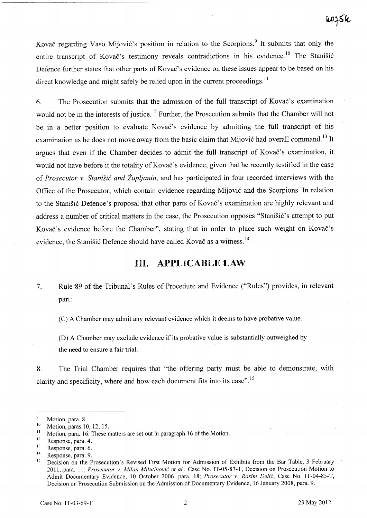Kovač regarding Vaso Mijović's position in relation to the Scorpions.<sup>9</sup> It submits that only the entire transcript of Kovač's testimony reveals contradictions in his evidence.<sup>10</sup> The Stanišić Defence further states that other parts of Kovač's evidence on these issues appear to be based on his direct knowledge and might safely be relied upon in the current proceedings.<sup>11</sup>

6. The Prosecution submits that the admission of the full transcript of Kovač's examination would not be in the interests of justice.<sup>12</sup> Further, the Prosecution submits that the Chamber will not be in a better position to evaluate Kovač's evidence by admitting the full transcript of his examination as he does not move away from the basic claim that Mijović had overall command.<sup>13</sup> It argues that even if the Chamber decides to admit the full transcript of Kovač's examination, it would not have before it the totality of Kovač's evidence, given that he recently testified in the case of *Prosecutor v.* Stanišić *and Župljanin,* and has participated in four recorded interviews with the Office of the Prosecutor, which contain evidence regarding Mijović and the Scorpions. In relation to the Stanišić Defence's proposal that other parts of Kovač's examination are highly relevant and address a number of critical matters in the case, the Prosecution opposes "Stanišić's attempt to put Kovač's evidence before the Chamber", stating that in order to place such weight on Kovač's evidence, the Stanišić Defence should have called Kovač as a witness.<sup>14</sup>

# **III. APPLICABLE LAW**

7. Rule 89 of the Tribunal's Rules of Procedure and Evidence ("Rules") provides, in relevant part:

(C) A Chamber may admit any relevant evidence which it deems to have probative value.

(D) A Chamber may exclude evidence if its probative value is substantially outweighed by the need to ensure a fair trial.

8. The Trial Chamber requires that "the offering party must be able to demonstrate, with clarity and specificity, where and how each document fits into its case".<sup>15</sup>

 $\frac{9}{10}$  Motion, para. 8.

 $\frac{10}{11}$  Motion, paras 10, 12, 15.

<sup>&</sup>lt;sup>11</sup> Motion, para. 16. These matters are set out in paragraph 16 of the Motion.<br><sup>12</sup> Personals again  $\frac{1}{4}$ 

 $12$  Response, para. 4.

 $\frac{13}{14}$  Response, para. 6.

 $14$  Response, para. 9.

Decision on the Prosecution's Revised First Motion for Admission of Exhibits from the Bar Table, 3 February 2011,ipara. ll; *Prosecutor* v. *Milan* Milutinović *et al.,* Case No. IT-05-87-T, Decision on Prosecution Motion to Admit Documentary Evidence, 10 October 2006, para. 18; *Prosecutor* v. *Rasim* Delić, Case No. lT-04-83-T, Decision on Prosecution Submission on the Admission of Documentary Evidence, 16 January 2008, para. 9.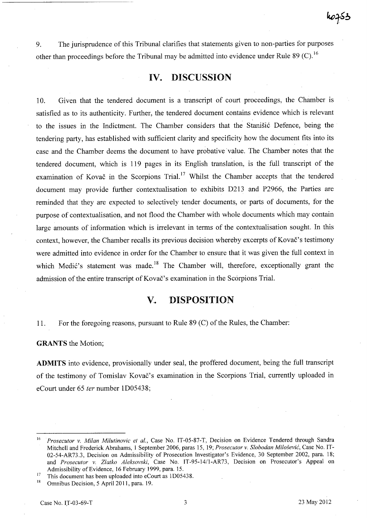9. The jurisprudence of this Tribunal clarifies that statements given to non-parties for purposes other than proceedings before the Tribunal may be admitted into evidence under Rule 89 (C).<sup>16</sup>

### IV. DISCUSSION

10. Given that the tendered document is a transcript of court proceedings, the Chamber is satisfied as to its authenticity. Further, the tendered document contains evidence which is relevant to the issues in the Indictment. The Chamber considers that the Stanišić Defence, being the tendering party, has established with sufficient clarity and specificity how the document fits into its case and the Chamber deems the document to have probative value. The Chamber notes that the tendered document, which is 119 pages in its English translation, is the full transcript of the examination of Kovač in the Scorpions Trial.<sup>17</sup> Whilst the Chamber accepts that the tendered document may provide further contextualisation to exhibits D2l3 and P2966, the Parties are reminded that they are expected to selectively tender documents, or parts of documents, for the purpose of contextualisation, and not flood the Chamber with whole documents which may contain large amounts of information which is irrelevant in terms of the contextualisation sought. In this context, however, the Chamber recalls its previous decision whereby excerpts of Kovač's testimony were admitted into evidence in order for the Chamber to ensure that it was given the full context in which Medić's statement was made.<sup>18</sup> The Chamber will, therefore, exceptionally grant the admission of the entire transcript of Kovač's examination in the Scorpions Trial.

# V. 'DISPOSITION

11. For the foregoing reasons, pursuant to Rule 89 (C) of the Rules, the Chamber:

GRANTS the Motion;

ADMITS into evidence, provisionally under seal, the proffered document, being the full transcript of the testimony of Tomislav Kovač's examination in the Scorpions Trial, currently uploaded in eCourt under 65 *ter* number lD05438;

<sup>16</sup>*Prosecutor v, Milan Milutinovic et al.,* Case No. IT-05-87-T, Decision on Evidence Tendered through Sandra Mitchell and Frederick Abrahams, 1 September 2006, paras 15, 19; *Prosecutor v. Slobodan* Milošević, Case No. 1T-02-54-AR73.3, Decision on Admissibility of Prosecution lnvestigator's Evidence, 30 September 2002, para. 18; and *Prosecutor v. Zlatko Aleksovski*, Case No. IT-95-14/1-AR73, Decision on Prosecutor's Appeal on Admissibility of Evidence, 16 February 1999, para. 15.

<sup>&</sup>lt;sup>17</sup> This document has been uploaded into eCourt as 1D05438.<br><sup>18</sup> Omnibus Decision 5 April 2011 para 19

Omnibus Decision, 5 April 2011, para. 19.